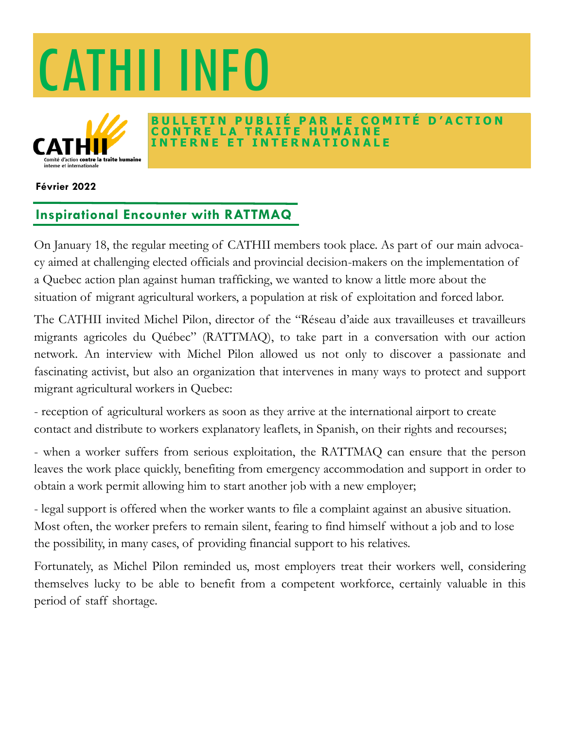



#### **BAR LE COMITÉ D'ACTION CONTRE LA TRAITE HUMAINE INTERNATIONALE**

#### **Février 2022**

## **Inspirational Encounter with RATTMAQ**

On January 18, the regular meeting of CATHII members took place. As part of our main advocacy aimed at challenging elected officials and provincial decision-makers on the implementation of a Quebec action plan against human trafficking, we wanted to know a little more about the situation of migrant agricultural workers, a population at risk of exploitation and forced labor.

The CATHII invited Michel Pilon, director of the "Réseau d'aide aux travailleuses et travailleurs migrants agricoles du Québec" (RATTMAQ), to take part in a conversation with our action network. An interview with Michel Pilon allowed us not only to discover a passionate and fascinating activist, but also an organization that intervenes in many ways to protect and support migrant agricultural workers in Quebec:

- reception of agricultural workers as soon as they arrive at the international airport to create contact and distribute to workers explanatory leaflets, in Spanish, on their rights and recourses;

- when a worker suffers from serious exploitation, the RATTMAQ can ensure that the person leaves the work place quickly, benefiting from emergency accommodation and support in order to obtain a work permit allowing him to start another job with a new employer;

- legal support is offered when the worker wants to file a complaint against an abusive situation. Most often, the worker prefers to remain silent, fearing to find himself without a job and to lose the possibility, in many cases, of providing financial support to his relatives.

Fortunately, as Michel Pilon reminded us, most employers treat their workers well, considering themselves lucky to be able to benefit from a competent workforce, certainly valuable in this period of staff shortage.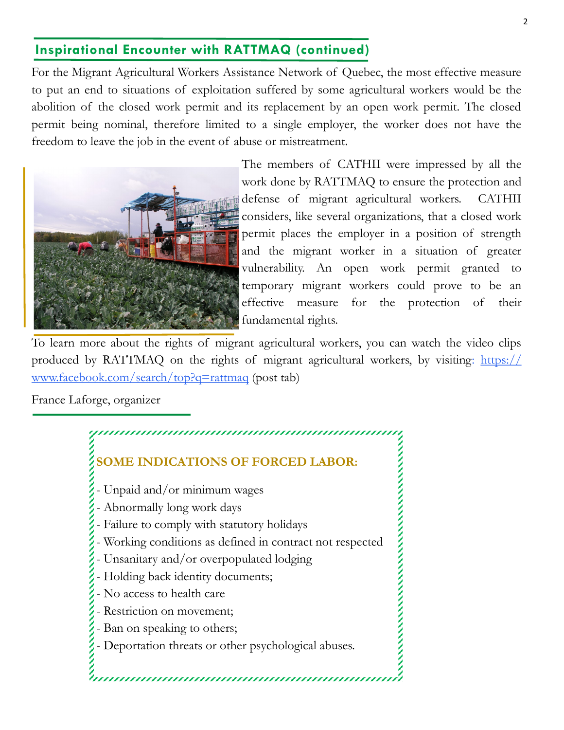# **Inspirational Encounter with RATTMAQ (continued)**

For the Migrant Agricultural Workers Assistance Network of Quebec, the most effective measure to put an end to situations of exploitation suffered by some agricultural workers would be the abolition of the closed work permit and its replacement by an open work permit. The closed permit being nominal, therefore limited to a single employer, the worker does not have the freedom to leave the job in the event of abuse or mistreatment.



The members of CATHII were impressed by all the work done by RATTMAQ to ensure the protection and defense of migrant agricultural workers. CATHII considers, like several organizations, that a closed work permit places the employer in a position of strength and the migrant worker in a situation of greater vulnerability. An open work permit granted to temporary migrant workers could prove to be an effective measure for the protection of their fundamental rights.

To learn more about the rights of migrant agricultural workers, you can watch the video clips produced by RATTMAQ on the rights of migrant agricultural workers, by visiting: [https://](https://www.facebook.com/search/top?q=rattmaq) [www.facebook.com/search/top?q=rattmaq](https://www.facebook.com/search/top?q=rattmaq) (post tab)

France Laforge, organizer

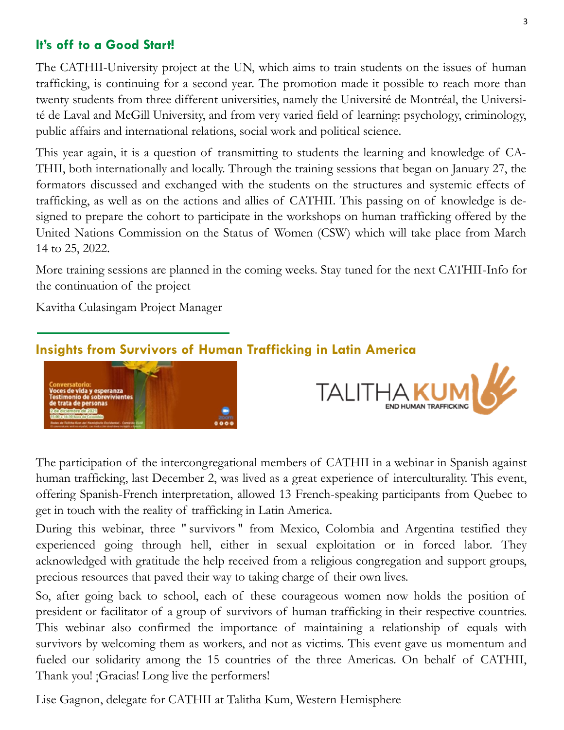## **It's off to a Good Start!**

The CATHII-University project at the UN, which aims to train students on the issues of human trafficking, is continuing for a second year. The promotion made it possible to reach more than twenty students from three different universities, namely the Université de Montréal, the Université de Laval and McGill University, and from very varied field of learning: psychology, criminology, public affairs and international relations, social work and political science.

This year again, it is a question of transmitting to students the learning and knowledge of CA-THII, both internationally and locally. Through the training sessions that began on January 27, the formators discussed and exchanged with the students on the structures and systemic effects of trafficking, as well as on the actions and allies of CATHII. This passing on of knowledge is designed to prepare the cohort to participate in the workshops on human trafficking offered by the United Nations Commission on the Status of Women (CSW) which will take place from March 14 to 25, 2022.

More training sessions are planned in the coming weeks. Stay tuned for the next CATHII-Info for the continuation of the project

Kavitha Culasingam Project Manager

## **Insights from Survivors of Human Trafficking in Latin America**





The participation of the intercongregational members of CATHII in a webinar in Spanish against human trafficking, last December 2, was lived as a great experience of interculturality. This event, offering Spanish-French interpretation, allowed 13 French-speaking participants from Quebec to get in touch with the reality of trafficking in Latin America.

During this webinar, three " survivors " from Mexico, Colombia and Argentina testified they experienced going through hell, either in sexual exploitation or in forced labor. They acknowledged with gratitude the help received from a religious congregation and support groups, precious resources that paved their way to taking charge of their own lives.

So, after going back to school, each of these courageous women now holds the position of president or facilitator of a group of survivors of human trafficking in their respective countries. This webinar also confirmed the importance of maintaining a relationship of equals with survivors by welcoming them as workers, and not as victims. This event gave us momentum and fueled our solidarity among the 15 countries of the three Americas. On behalf of CATHII, Thank you! ¡Gracias! Long live the performers!

Lise Gagnon, delegate for CATHII at Talitha Kum, Western Hemisphere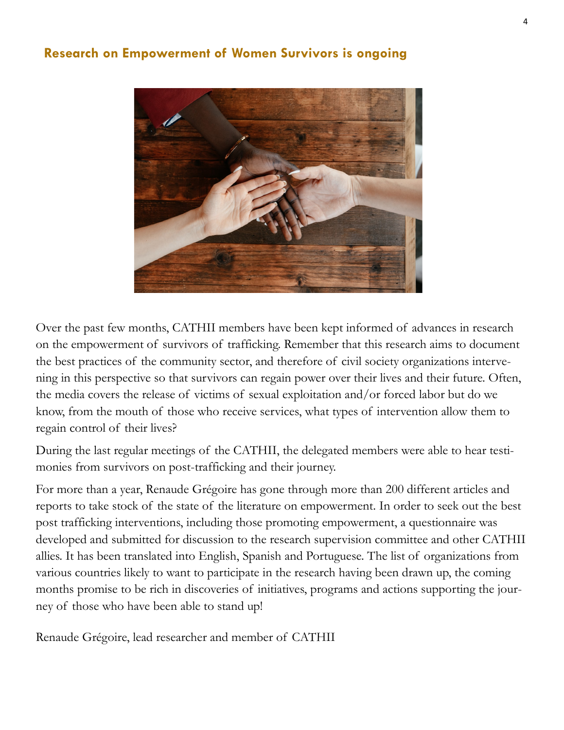### **Research on Empowerment of Women Survivors is ongoing**



Over the past few months, CATHII members have been kept informed of advances in research on the empowerment of survivors of trafficking. Remember that this research aims to document the best practices of the community sector, and therefore of civil society organizations intervening in this perspective so that survivors can regain power over their lives and their future. Often, the media covers the release of victims of sexual exploitation and/or forced labor but do we know, from the mouth of those who receive services, what types of intervention allow them to regain control of their lives?

During the last regular meetings of the CATHII, the delegated members were able to hear testimonies from survivors on post-trafficking and their journey.

For more than a year, Renaude Grégoire has gone through more than 200 different articles and reports to take stock of the state of the literature on empowerment. In order to seek out the best post trafficking interventions, including those promoting empowerment, a questionnaire was developed and submitted for discussion to the research supervision committee and other CATHII allies. It has been translated into English, Spanish and Portuguese. The list of organizations from various countries likely to want to participate in the research having been drawn up, the coming months promise to be rich in discoveries of initiatives, programs and actions supporting the journey of those who have been able to stand up!

Renaude Grégoire, lead researcher and member of CATHII